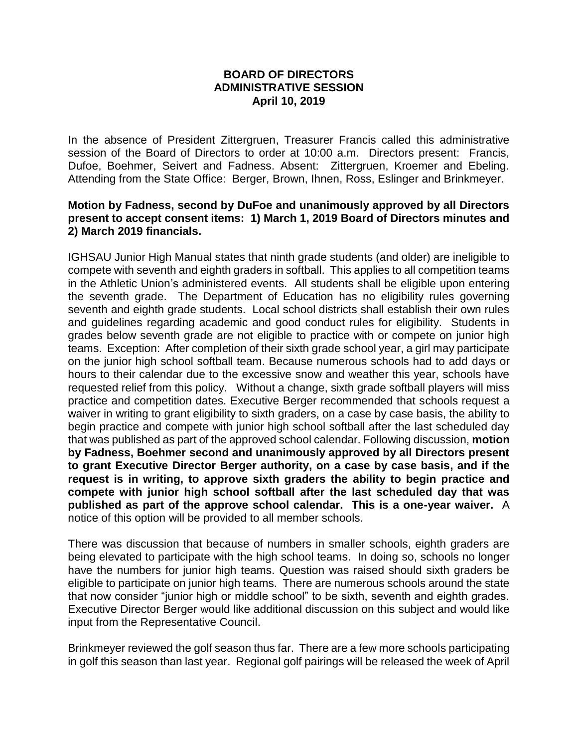## **BOARD OF DIRECTORS ADMINISTRATIVE SESSION April 10, 2019**

In the absence of President Zittergruen, Treasurer Francis called this administrative session of the Board of Directors to order at 10:00 a.m. Directors present: Francis, Dufoe, Boehmer, Seivert and Fadness. Absent: Zittergruen, Kroemer and Ebeling. Attending from the State Office: Berger, Brown, Ihnen, Ross, Eslinger and Brinkmeyer.

## **Motion by Fadness, second by DuFoe and unanimously approved by all Directors present to accept consent items: 1) March 1, 2019 Board of Directors minutes and 2) March 2019 financials.**

IGHSAU Junior High Manual states that ninth grade students (and older) are ineligible to compete with seventh and eighth graders in softball. This applies to all competition teams in the Athletic Union's administered events. All students shall be eligible upon entering the seventh grade. The Department of Education has no eligibility rules governing seventh and eighth grade students. Local school districts shall establish their own rules and guidelines regarding academic and good conduct rules for eligibility. Students in grades below seventh grade are not eligible to practice with or compete on junior high teams. Exception: After completion of their sixth grade school year, a girl may participate on the junior high school softball team. Because numerous schools had to add days or hours to their calendar due to the excessive snow and weather this year, schools have requested relief from this policy. Without a change, sixth grade softball players will miss practice and competition dates. Executive Berger recommended that schools request a waiver in writing to grant eligibility to sixth graders, on a case by case basis, the ability to begin practice and compete with junior high school softball after the last scheduled day that was published as part of the approved school calendar. Following discussion, **motion by Fadness, Boehmer second and unanimously approved by all Directors present to grant Executive Director Berger authority, on a case by case basis, and if the request is in writing, to approve sixth graders the ability to begin practice and compete with junior high school softball after the last scheduled day that was published as part of the approve school calendar. This is a one-year waiver.** A notice of this option will be provided to all member schools.

There was discussion that because of numbers in smaller schools, eighth graders are being elevated to participate with the high school teams. In doing so, schools no longer have the numbers for junior high teams. Question was raised should sixth graders be eligible to participate on junior high teams. There are numerous schools around the state that now consider "junior high or middle school" to be sixth, seventh and eighth grades. Executive Director Berger would like additional discussion on this subject and would like input from the Representative Council.

Brinkmeyer reviewed the golf season thus far. There are a few more schools participating in golf this season than last year. Regional golf pairings will be released the week of April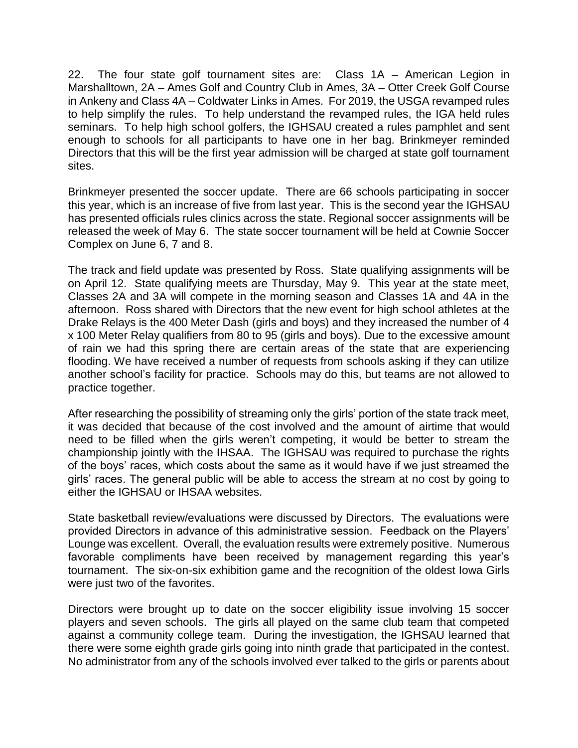22. The four state golf tournament sites are: Class 1A – American Legion in Marshalltown, 2A – Ames Golf and Country Club in Ames, 3A – Otter Creek Golf Course in Ankeny and Class 4A – Coldwater Links in Ames. For 2019, the USGA revamped rules to help simplify the rules. To help understand the revamped rules, the IGA held rules seminars. To help high school golfers, the IGHSAU created a rules pamphlet and sent enough to schools for all participants to have one in her bag. Brinkmeyer reminded Directors that this will be the first year admission will be charged at state golf tournament sites.

Brinkmeyer presented the soccer update. There are 66 schools participating in soccer this year, which is an increase of five from last year. This is the second year the IGHSAU has presented officials rules clinics across the state. Regional soccer assignments will be released the week of May 6. The state soccer tournament will be held at Cownie Soccer Complex on June 6, 7 and 8.

The track and field update was presented by Ross. State qualifying assignments will be on April 12. State qualifying meets are Thursday, May 9. This year at the state meet, Classes 2A and 3A will compete in the morning season and Classes 1A and 4A in the afternoon. Ross shared with Directors that the new event for high school athletes at the Drake Relays is the 400 Meter Dash (girls and boys) and they increased the number of 4 x 100 Meter Relay qualifiers from 80 to 95 (girls and boys). Due to the excessive amount of rain we had this spring there are certain areas of the state that are experiencing flooding. We have received a number of requests from schools asking if they can utilize another school's facility for practice. Schools may do this, but teams are not allowed to practice together.

After researching the possibility of streaming only the girls' portion of the state track meet, it was decided that because of the cost involved and the amount of airtime that would need to be filled when the girls weren't competing, it would be better to stream the championship jointly with the IHSAA. The IGHSAU was required to purchase the rights of the boys' races, which costs about the same as it would have if we just streamed the girls' races. The general public will be able to access the stream at no cost by going to either the IGHSAU or IHSAA websites.

State basketball review/evaluations were discussed by Directors. The evaluations were provided Directors in advance of this administrative session. Feedback on the Players' Lounge was excellent. Overall, the evaluation results were extremely positive. Numerous favorable compliments have been received by management regarding this year's tournament. The six-on-six exhibition game and the recognition of the oldest Iowa Girls were just two of the favorites.

Directors were brought up to date on the soccer eligibility issue involving 15 soccer players and seven schools. The girls all played on the same club team that competed against a community college team. During the investigation, the IGHSAU learned that there were some eighth grade girls going into ninth grade that participated in the contest. No administrator from any of the schools involved ever talked to the girls or parents about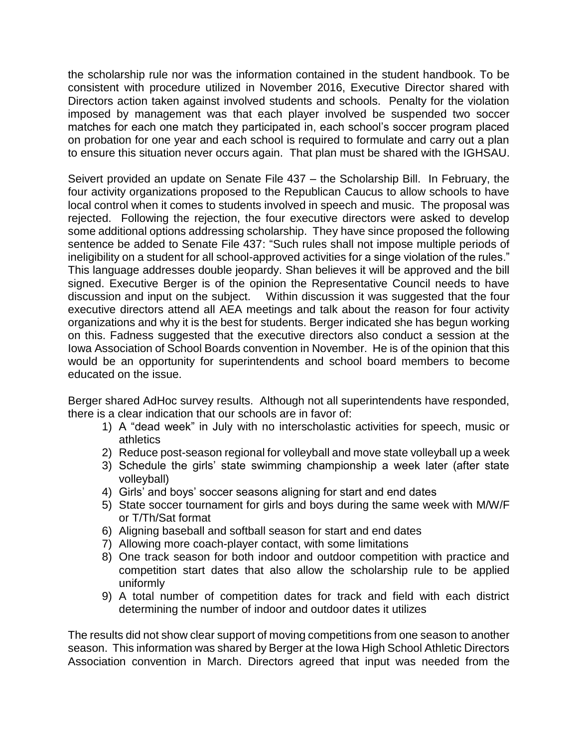the scholarship rule nor was the information contained in the student handbook. To be consistent with procedure utilized in November 2016, Executive Director shared with Directors action taken against involved students and schools. Penalty for the violation imposed by management was that each player involved be suspended two soccer matches for each one match they participated in, each school's soccer program placed on probation for one year and each school is required to formulate and carry out a plan to ensure this situation never occurs again. That plan must be shared with the IGHSAU.

Seivert provided an update on Senate File 437 – the Scholarship Bill. In February, the four activity organizations proposed to the Republican Caucus to allow schools to have local control when it comes to students involved in speech and music. The proposal was rejected. Following the rejection, the four executive directors were asked to develop some additional options addressing scholarship. They have since proposed the following sentence be added to Senate File 437: "Such rules shall not impose multiple periods of ineligibility on a student for all school-approved activities for a singe violation of the rules." This language addresses double jeopardy. Shan believes it will be approved and the bill signed. Executive Berger is of the opinion the Representative Council needs to have discussion and input on the subject. Within discussion it was suggested that the four executive directors attend all AEA meetings and talk about the reason for four activity organizations and why it is the best for students. Berger indicated she has begun working on this. Fadness suggested that the executive directors also conduct a session at the Iowa Association of School Boards convention in November. He is of the opinion that this would be an opportunity for superintendents and school board members to become educated on the issue.

Berger shared AdHoc survey results. Although not all superintendents have responded, there is a clear indication that our schools are in favor of:

- 1) A "dead week" in July with no interscholastic activities for speech, music or athletics
- 2) Reduce post-season regional for volleyball and move state volleyball up a week
- 3) Schedule the girls' state swimming championship a week later (after state volleyball)
- 4) Girls' and boys' soccer seasons aligning for start and end dates
- 5) State soccer tournament for girls and boys during the same week with M/W/F or T/Th/Sat format
- 6) Aligning baseball and softball season for start and end dates
- 7) Allowing more coach-player contact, with some limitations
- 8) One track season for both indoor and outdoor competition with practice and competition start dates that also allow the scholarship rule to be applied uniformly
- 9) A total number of competition dates for track and field with each district determining the number of indoor and outdoor dates it utilizes

The results did not show clear support of moving competitions from one season to another season. This information was shared by Berger at the Iowa High School Athletic Directors Association convention in March. Directors agreed that input was needed from the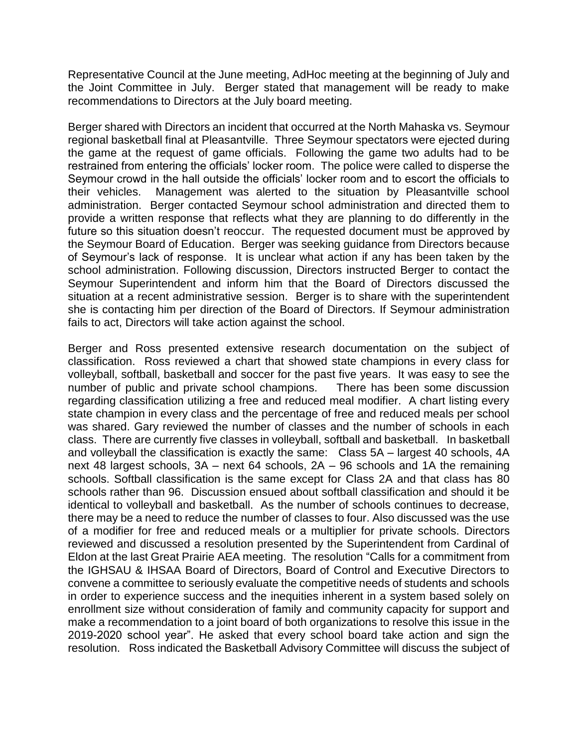Representative Council at the June meeting, AdHoc meeting at the beginning of July and the Joint Committee in July. Berger stated that management will be ready to make recommendations to Directors at the July board meeting.

Berger shared with Directors an incident that occurred at the North Mahaska vs. Seymour regional basketball final at Pleasantville. Three Seymour spectators were ejected during the game at the request of game officials. Following the game two adults had to be restrained from entering the officials' locker room. The police were called to disperse the Seymour crowd in the hall outside the officials' locker room and to escort the officials to their vehicles. Management was alerted to the situation by Pleasantville school administration. Berger contacted Seymour school administration and directed them to provide a written response that reflects what they are planning to do differently in the future so this situation doesn't reoccur. The requested document must be approved by the Seymour Board of Education. Berger was seeking guidance from Directors because of Seymour's lack of response. It is unclear what action if any has been taken by the school administration. Following discussion, Directors instructed Berger to contact the Seymour Superintendent and inform him that the Board of Directors discussed the situation at a recent administrative session. Berger is to share with the superintendent she is contacting him per direction of the Board of Directors. If Seymour administration fails to act, Directors will take action against the school.

Berger and Ross presented extensive research documentation on the subject of classification. Ross reviewed a chart that showed state champions in every class for volleyball, softball, basketball and soccer for the past five years. It was easy to see the number of public and private school champions. There has been some discussion regarding classification utilizing a free and reduced meal modifier. A chart listing every state champion in every class and the percentage of free and reduced meals per school was shared. Gary reviewed the number of classes and the number of schools in each class. There are currently five classes in volleyball, softball and basketball. In basketball and volleyball the classification is exactly the same: Class 5A – largest 40 schools, 4A next 48 largest schools, 3A – next 64 schools, 2A – 96 schools and 1A the remaining schools. Softball classification is the same except for Class 2A and that class has 80 schools rather than 96. Discussion ensued about softball classification and should it be identical to volleyball and basketball. As the number of schools continues to decrease, there may be a need to reduce the number of classes to four. Also discussed was the use of a modifier for free and reduced meals or a multiplier for private schools. Directors reviewed and discussed a resolution presented by the Superintendent from Cardinal of Eldon at the last Great Prairie AEA meeting. The resolution "Calls for a commitment from the IGHSAU & IHSAA Board of Directors, Board of Control and Executive Directors to convene a committee to seriously evaluate the competitive needs of students and schools in order to experience success and the inequities inherent in a system based solely on enrollment size without consideration of family and community capacity for support and make a recommendation to a joint board of both organizations to resolve this issue in the 2019-2020 school year". He asked that every school board take action and sign the resolution. Ross indicated the Basketball Advisory Committee will discuss the subject of